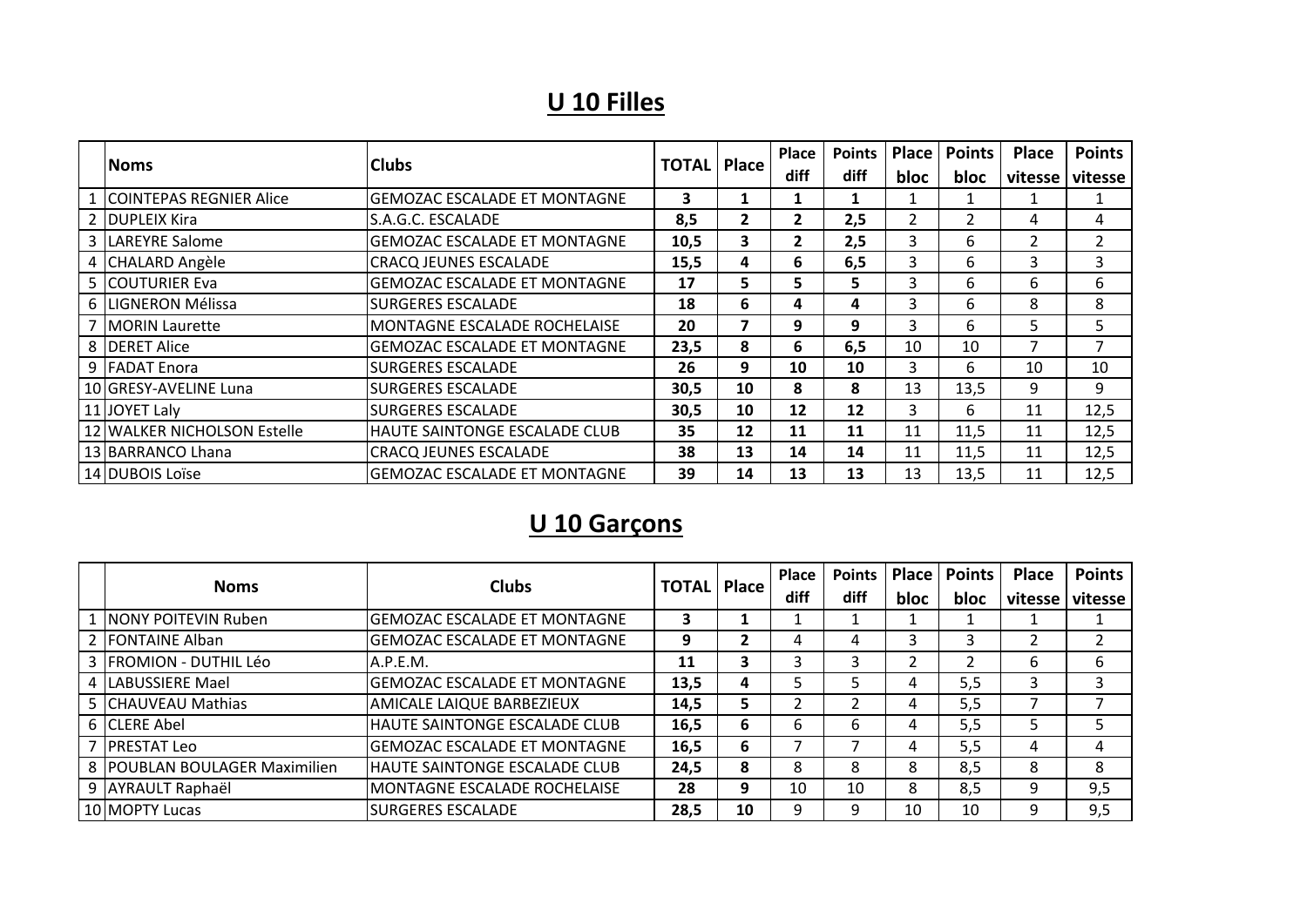#### **U 10 Filles**

| <b>Noms</b>                 | <b>Clubs</b>                         |      | <b>TOTAL</b>   Place | Place        | <b>Points</b> | Place | <b>Points</b> | <b>Place</b> | <b>Points</b> |
|-----------------------------|--------------------------------------|------|----------------------|--------------|---------------|-------|---------------|--------------|---------------|
|                             |                                      |      |                      | diff         | <b>diff</b>   | bloc  | bloc          | vitesse      | vitesse       |
| 1 COINTEPAS REGNIER Alice   | lGEMOZAC ESCALADE ET MONTAGNE        | 3    |                      |              |               |       |               |              |               |
| 2 DUPLEIX Kira              | S.A.G.C. ESCALADE                    | 8,5  | $\mathbf{2}$         | $\mathbf{2}$ | 2,5           | 2     |               | 4            | 4             |
| 3   LAREYRE Salome          | lGEMOZAC ESCALADE ET MONTAGNE        | 10,5 | 3                    | 2            | 2,5           | 3     | 6             |              | 2             |
| 4 CHALARD Angèle            | <b>CRACQ JEUNES ESCALADE</b>         | 15,5 | 4                    | 6            | 6,5           | 3     | 6             | 3            | 3             |
| 5 COUTURIER Eva             | <b> GEMOZAC ESCALADE ET MONTAGNE</b> | 17   | 5                    | 5.           | 5.            | 3     | 6             | 6.           | 6             |
| 6 ILIGNERON Mélissa         | <b>SURGERES ESCALADE</b>             | 18   | 6                    | 4            | 4             | 3     | 6             | 8            | 8             |
| 7   MORIN Laurette          | <b>MONTAGNE ESCALADE ROCHELAISE</b>  | 20   |                      | 9            | 9             | 3     | 6             | 5.           | 5             |
| 8 DERET Alice               | lGEMOZAC ESCALADE ET MONTAGNE        | 23,5 | 8                    | 6            | 6,5           | 10    | 10            | 7            | 7             |
| 9 FADAT Enora               | <b>SURGERES ESCALADE</b>             | 26   | 9                    | 10           | 10            | 3     | 6             | 10           | 10            |
| 10 GRESY-AVELINE Luna       | <b>SURGERES ESCALADE</b>             | 30,5 | 10                   | 8            | 8             | 13    | 13,5          | 9            | 9             |
| 11 JOYET Laly               | <b>SURGERES ESCALADE</b>             | 30,5 | 10                   | 12           | 12            | 3     | 6             | 11           | 12,5          |
| 12 WALKER NICHOLSON Estelle | HAUTE SAINTONGE ESCALADE CLUB        | 35   | 12                   | 11           | 11            | 11    | 11,5          | 11           | 12,5          |
| 13 BARRANCO Lhana           | <b>CRACQ JEUNES ESCALADE</b>         | 38   | 13                   | 14           | 14            | 11    | 11,5          | 11           | 12,5          |
| 14 DUBOIS Loïse             | <b>GEMOZAC ESCALADE ET MONTAGNE</b>  | 39   | 14                   | 13           | 13            | 13    | 13,5          | 11           | 12,5          |

## **U 10 Garçons**

| <b>Noms</b>                         | <b>Clubs</b>                        | <b>TOTAL</b> |    | <b>Place</b> | Place | Points | Place | <b>Points</b> | <b>Place</b> | <b>Points</b> |
|-------------------------------------|-------------------------------------|--------------|----|--------------|-------|--------|-------|---------------|--------------|---------------|
|                                     |                                     |              |    | diff         | diff  | bloc   | bloc  | vitesse l     | vitesse      |               |
| <b>NONY POITEVIN Ruben</b>          | <b>GEMOZAC ESCALADE ET MONTAGNE</b> | 3            |    |              |       |        |       |               |              |               |
| <b>FONTAINE Alban</b>               | <b>GEMOZAC ESCALADE ET MONTAGNE</b> | 9            |    |              | 4     |        |       |               |              |               |
| <b>FROMION - DUTHIL Léo</b>         | A.P.E.M.                            | 11           | 3  |              |       |        |       | 6             | 6            |               |
| LABUSSIERE Mael                     | <b>GEMOZAC ESCALADE ET MONTAGNE</b> | 13,5         | 4  |              |       | 4      | 5,5   | 3             |              |               |
| <b>CHAUVEAU Mathias</b>             | AMICALE LAIQUE BARBEZIEUX           | 14,5         | 5  |              |       | 4      | 5,5   |               |              |               |
| 6 CLERE Abel                        | HAUTE SAINTONGE ESCALADE CLUB       | 16,5         | 6  | 6            | ь     | 4      | 5,5   | 5             |              |               |
| <b>IPRESTAT Leo</b>                 | GEMOZAC ESCALADE ET MONTAGNE        | 16,5         | 6  |              |       |        | 5,5   | 4             | 4            |               |
| <b>IPOUBLAN BOULAGER Maximilien</b> | IHAUTE SAINTONGE ESCALADE CLUB      | 24,5         | 8  | 8            | 8     | 8      | 8,5   | 8             | 8            |               |
| <b>AYRAULT Raphaël</b>              | MONTAGNE ESCALADE ROCHELAISE        | 28           | 9  | 10           | 10    | 8      | 8,5   | 9             | 9,5          |               |
| <b>10 MOPTY Lucas</b>               | <b>SURGERES ESCALADE</b>            | 28.5         | 10 |              |       | 10     | 10    | 9             | 9,5          |               |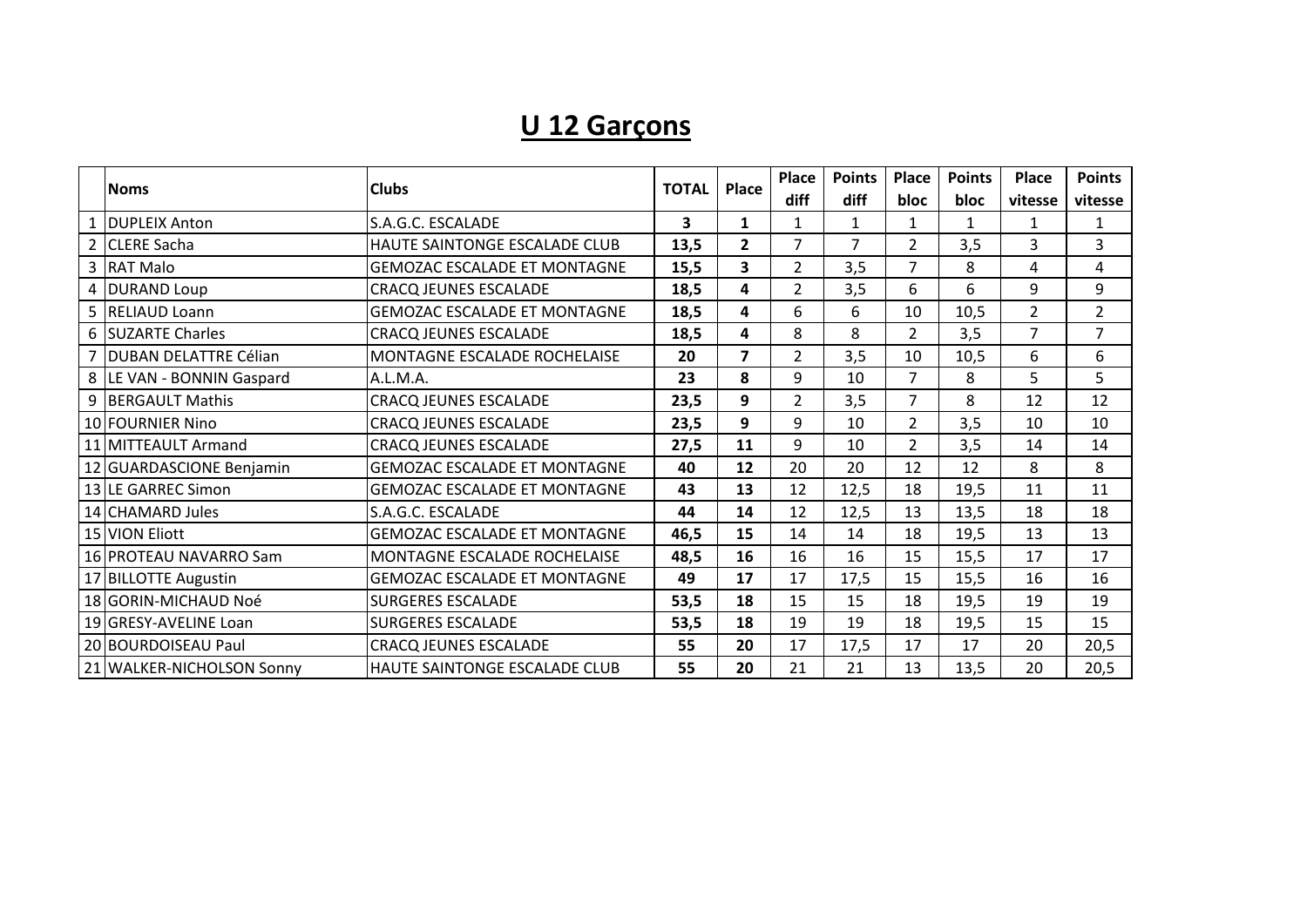# **U 12 Garçons**

|                           |                                      | <b>TOTAL</b> |                         |                |      |                | Place | Place          | <b>Points</b>  | <b>Place</b> | <b>Points</b> | Place | <b>Points</b> |
|---------------------------|--------------------------------------|--------------|-------------------------|----------------|------|----------------|-------|----------------|----------------|--------------|---------------|-------|---------------|
| <b>Noms</b>               | <b>Clubs</b>                         |              |                         | diff           | diff | bloc           | bloc  | vitesse        | vitesse        |              |               |       |               |
| 1 <b>DUPLEIX</b> Anton    | S.A.G.C. ESCALADE                    | 3            | 1                       | $\mathbf{1}$   | 1    | $\mathbf{1}$   | 1     | 1              | 1              |              |               |       |               |
| 2 CLERE Sacha             | HAUTE SAINTONGE ESCALADE CLUB        | 13,5         | $\overline{2}$          | $\overline{7}$ | 7    | $\overline{2}$ | 3,5   | 3              | 3              |              |               |       |               |
| 3 RAT Malo                | <b>GEMOZAC ESCALADE ET MONTAGNE</b>  | 15,5         | 3                       | $\overline{2}$ | 3,5  | $\overline{7}$ | 8     | 4              | 4              |              |               |       |               |
| 4 DURAND Loup             | <b>CRACQ JEUNES ESCALADE</b>         | 18,5         | 4                       | $\overline{2}$ | 3,5  | 6              | 6     | 9              | 9              |              |               |       |               |
| 5 RELIAUD Loann           | <b>GEMOZAC ESCALADE ET MONTAGNE</b>  | 18,5         | 4                       | 6              | 6    | 10             | 10,5  | $\overline{2}$ | $\overline{2}$ |              |               |       |               |
| 6 SUZARTE Charles         | <b>CRACQ JEUNES ESCALADE</b>         | 18,5         | 4                       | 8              | 8    | $\overline{2}$ | 3,5   | 7              | $\overline{7}$ |              |               |       |               |
| 7 DUBAN DELATTRE Célian   | MONTAGNE ESCALADE ROCHELAISE         | 20           | $\overline{\mathbf{z}}$ | $\overline{2}$ | 3,5  | 10             | 10,5  | 6              | 6              |              |               |       |               |
| 8 LE VAN - BONNIN Gaspard | A.L.M.A.                             | 23           | 8                       | 9              | 10   | $\overline{7}$ | 8     | 5              | 5              |              |               |       |               |
| 9 BERGAULT Mathis         | <b>CRACQ JEUNES ESCALADE</b>         | 23,5         | 9                       | $\overline{2}$ | 3,5  | $\overline{7}$ | 8     | 12             | 12             |              |               |       |               |
| 10 FOURNIER Nino          | <b>CRACQ JEUNES ESCALADE</b>         | 23,5         | 9                       | 9              | 10   | $\overline{2}$ | 3,5   | 10             | 10             |              |               |       |               |
| 11 MITTEAULT Armand       | <b>CRACQ JEUNES ESCALADE</b>         | 27,5         | 11                      | 9              | 10   | $\overline{2}$ | 3,5   | 14             | 14             |              |               |       |               |
| 12 GUARDASCIONE Benjamin  | <b>GEMOZAC ESCALADE ET MONTAGNE</b>  | 40           | 12                      | 20             | 20   | 12             | 12    | 8              | 8              |              |               |       |               |
| 13 LE GARREC Simon        | <b>GEMOZAC ESCALADE ET MONTAGNE</b>  | 43           | 13                      | 12             | 12,5 | 18             | 19,5  | 11             | 11             |              |               |       |               |
| 14 CHAMARD Jules          | S.A.G.C. ESCALADE                    | 44           | 14                      | 12             | 12,5 | 13             | 13,5  | 18             | 18             |              |               |       |               |
| 15 VION Eliott            | <b>GEMOZAC ESCALADE ET MONTAGNE</b>  | 46,5         | 15                      | 14             | 14   | 18             | 19,5  | 13             | 13             |              |               |       |               |
| 16 PROTEAU NAVARRO Sam    | MONTAGNE ESCALADE ROCHELAISE         | 48,5         | 16                      | 16             | 16   | 15             | 15,5  | 17             | 17             |              |               |       |               |
| 17 BILLOTTE Augustin      | <b>GEMOZAC ESCALADE ET MONTAGNE</b>  | 49           | 17                      | 17             | 17,5 | 15             | 15,5  | 16             | 16             |              |               |       |               |
| 18 GORIN-MICHAUD Noé      | <b>SURGERES ESCALADE</b>             | 53,5         | 18                      | 15             | 15   | 18             | 19,5  | 19             | 19             |              |               |       |               |
| 19 GRESY-AVELINE Loan     | <b>SURGERES ESCALADE</b>             | 53,5         | 18                      | 19             | 19   | 18             | 19,5  | 15             | 15             |              |               |       |               |
| 20 BOURDOISEAU Paul       | <b>CRACQ JEUNES ESCALADE</b>         | 55           | 20                      | 17             | 17,5 | 17             | 17    | 20             | 20,5           |              |               |       |               |
| 21 WALKER-NICHOLSON Sonny | <b>HAUTE SAINTONGE ESCALADE CLUB</b> | 55           | 20                      | 21             | 21   | 13             | 13,5  | 20             | 20,5           |              |               |       |               |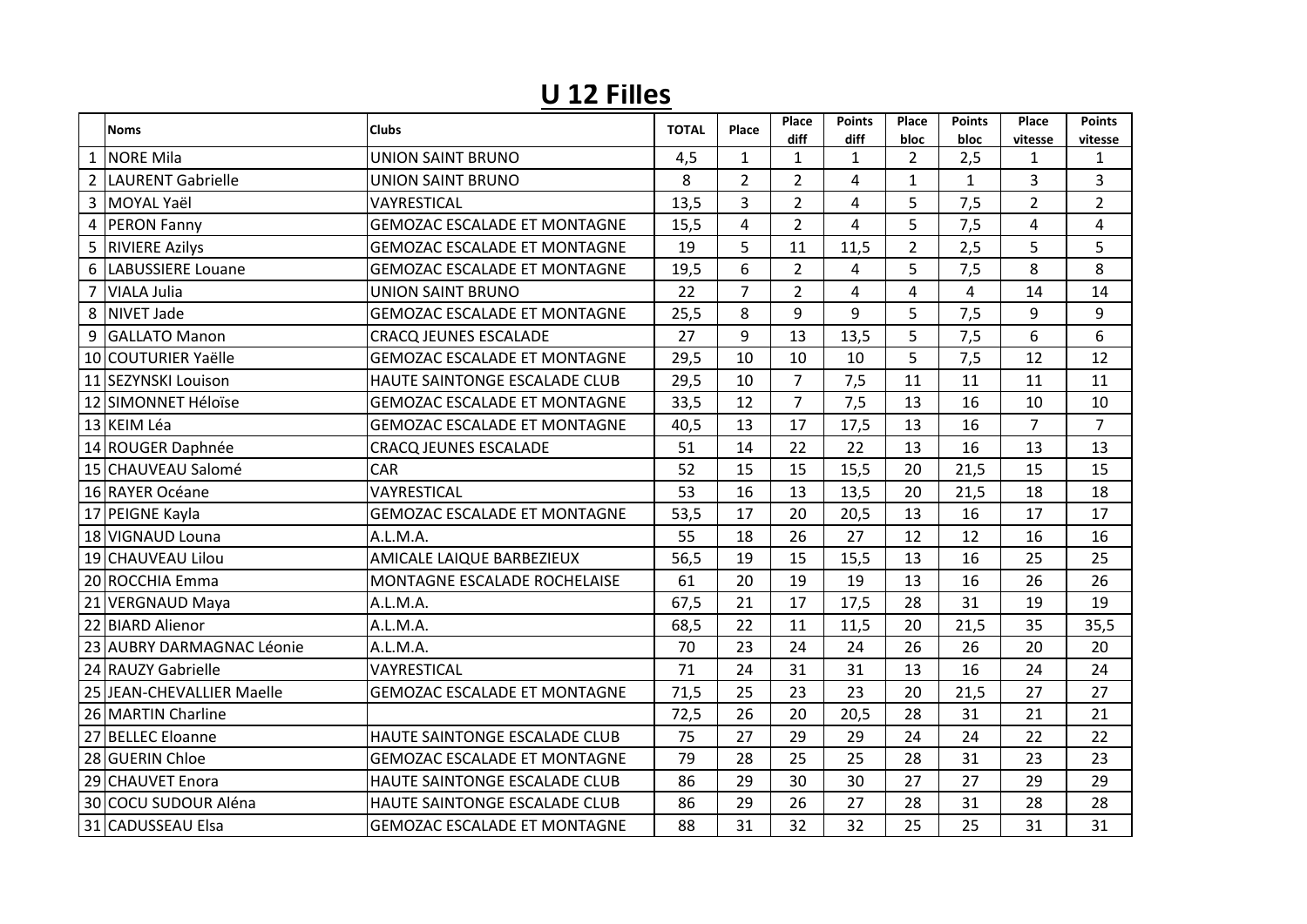## **U 12 Filles**

|                | <b>Noms</b>               | <b>Clubs</b>                        | <b>TOTAL</b> | Place          | Place<br>diff  | <b>Points</b><br>diff | Place<br>bloc  | <b>Points</b><br>bloc | Place<br>vitesse | <b>Points</b><br>vitesse |
|----------------|---------------------------|-------------------------------------|--------------|----------------|----------------|-----------------------|----------------|-----------------------|------------------|--------------------------|
|                | <b>NORE Mila</b>          | UNION SAINT BRUNO                   | 4,5          | $\mathbf{1}$   | $\mathbf{1}$   | $\mathbf{1}$          | $\overline{2}$ | 2,5                   | 1                | $\mathbf{1}$             |
| $\overline{2}$ | LAURENT Gabrielle         | <b>UNION SAINT BRUNO</b>            | 8            | $\overline{2}$ | $\overline{2}$ | 4                     | $\mathbf{1}$   | $\mathbf{1}$          | 3                | 3                        |
| 3              | MOYAL Yaël                | VAYRESTICAL                         | 13,5         | $\overline{3}$ | $\overline{2}$ | 4                     | 5              | 7,5                   | $\overline{2}$   | $\overline{2}$           |
| 4              | <b>PERON Fanny</b>        | <b>GEMOZAC ESCALADE ET MONTAGNE</b> | 15,5         | $\overline{4}$ | $\overline{2}$ | 4                     | 5              | 7,5                   | 4                | 4                        |
| 5              | <b>RIVIERE Azilys</b>     | <b>GEMOZAC ESCALADE ET MONTAGNE</b> | 19           | 5              | 11             | 11,5                  | $\overline{2}$ | 2,5                   | 5                | 5                        |
| 6              | LABUSSIERE Louane         | <b>GEMOZAC ESCALADE ET MONTAGNE</b> | 19,5         | 6              | $\overline{2}$ | 4                     | 5              | 7,5                   | 8                | 8                        |
| 7              | <b>VIALA Julia</b>        | <b>UNION SAINT BRUNO</b>            | 22           | $\overline{7}$ | $\overline{2}$ | 4                     | 4              | 4                     | 14               | 14                       |
| 8              | <b>NIVET Jade</b>         | <b>GEMOZAC ESCALADE ET MONTAGNE</b> | 25,5         | 8              | 9              | 9                     | 5              | 7,5                   | 9                | 9                        |
| 9              | <b>GALLATO Manon</b>      | <b>CRACQ JEUNES ESCALADE</b>        | 27           | 9              | 13             | 13,5                  | 5              | 7,5                   | 6                | 6                        |
|                | 10 COUTURIER Yaëlle       | <b>GEMOZAC ESCALADE ET MONTAGNE</b> | 29,5         | 10             | 10             | 10                    | 5              | 7,5                   | 12               | 12                       |
|                | 11 SEZYNSKI Louison       | HAUTE SAINTONGE ESCALADE CLUB       | 29,5         | 10             | $\overline{7}$ | 7,5                   | 11             | 11                    | 11               | 11                       |
|                | 12 SIMONNET Héloïse       | <b>GEMOZAC ESCALADE ET MONTAGNE</b> | 33,5         | 12             | $\overline{7}$ | 7,5                   | 13             | 16                    | 10               | 10                       |
|                | 13 KEIM Léa               | <b>GEMOZAC ESCALADE ET MONTAGNE</b> | 40,5         | 13             | 17             | 17,5                  | 13             | 16                    | $\overline{7}$   | $\overline{7}$           |
|                | 14 ROUGER Daphnée         | <b>CRACQ JEUNES ESCALADE</b>        | 51           | 14             | 22             | 22                    | 13             | 16                    | 13               | 13                       |
|                | 15 CHAUVEAU Salomé        | CAR                                 | 52           | 15             | 15             | 15,5                  | 20             | 21,5                  | 15               | 15                       |
|                | 16 RAYER Océane           | VAYRESTICAL                         | 53           | 16             | 13             | 13,5                  | 20             | 21,5                  | 18               | 18                       |
|                | 17 PEIGNE Kayla           | <b>GEMOZAC ESCALADE ET MONTAGNE</b> | 53,5         | 17             | 20             | 20,5                  | 13             | 16                    | 17               | 17                       |
|                | 18 VIGNAUD Louna          | A.L.M.A.                            | 55           | 18             | 26             | 27                    | 12             | 12                    | 16               | 16                       |
|                | 19 CHAUVEAU Lilou         | AMICALE LAIQUE BARBEZIEUX           | 56,5         | 19             | 15             | 15,5                  | 13             | 16                    | 25               | 25                       |
|                | 20 ROCCHIA Emma           | MONTAGNE ESCALADE ROCHELAISE        | 61           | 20             | 19             | 19                    | 13             | 16                    | 26               | 26                       |
|                | 21 VERGNAUD Maya          | A.L.M.A.                            | 67,5         | 21             | 17             | 17,5                  | 28             | 31                    | 19               | 19                       |
|                | 22 BIARD Alienor          | A.L.M.A.                            | 68,5         | 22             | 11             | 11,5                  | 20             | 21,5                  | 35               | 35,5                     |
|                | 23 AUBRY DARMAGNAC Léonie | A.L.M.A.                            | 70           | 23             | 24             | 24                    | 26             | 26                    | 20               | 20                       |
|                | 24 RAUZY Gabrielle        | VAYRESTICAL                         | 71           | 24             | 31             | 31                    | 13             | 16                    | 24               | 24                       |
|                | 25 JEAN-CHEVALLIER Maelle | <b>GEMOZAC ESCALADE ET MONTAGNE</b> | 71,5         | 25             | 23             | 23                    | 20             | 21,5                  | 27               | 27                       |
|                | 26 MARTIN Charline        |                                     | 72,5         | 26             | 20             | 20,5                  | 28             | 31                    | 21               | 21                       |
|                | 27 BELLEC Eloanne         | HAUTE SAINTONGE ESCALADE CLUB       | 75           | 27             | 29             | 29                    | 24             | 24                    | 22               | 22                       |
|                | 28 GUERIN Chloe           | <b>GEMOZAC ESCALADE ET MONTAGNE</b> | 79           | 28             | 25             | 25                    | 28             | 31                    | 23               | 23                       |
|                | 29 CHAUVET Enora          | HAUTE SAINTONGE ESCALADE CLUB       | 86           | 29             | 30             | 30                    | 27             | 27                    | 29               | 29                       |
|                | 30 COCU SUDOUR Aléna      | HAUTE SAINTONGE ESCALADE CLUB       | 86           | 29             | 26             | 27                    | 28             | 31                    | 28               | 28                       |
|                | 31 CADUSSEAU Elsa         | <b>GEMOZAC ESCALADE ET MONTAGNE</b> | 88           | 31             | 32             | 32                    | 25             | 25                    | 31               | 31                       |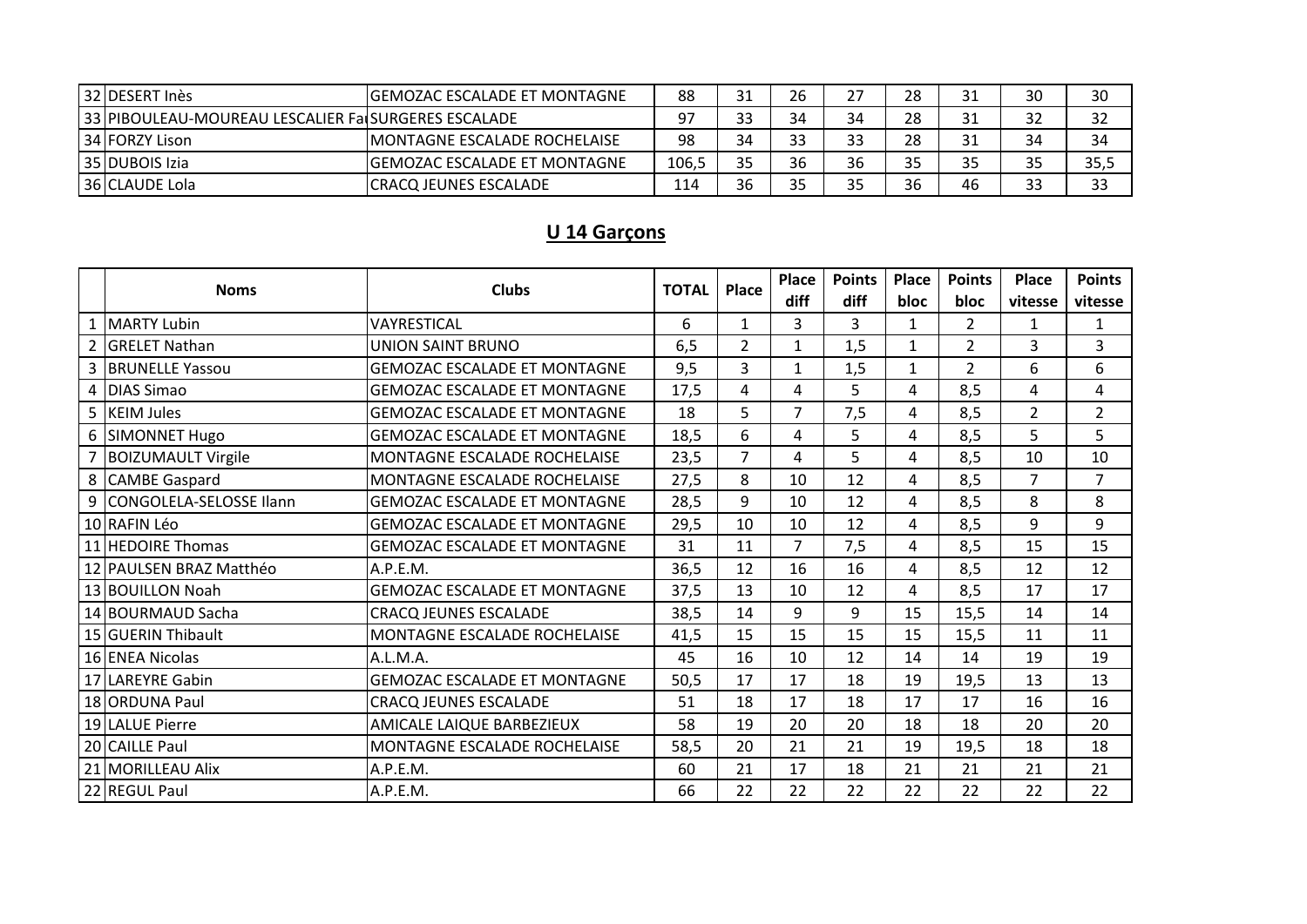| 32 DESERT Ines                                      | <b>IGEMOZAC ESCALADE ET MONTAGNE</b> | 88    | 31 | 26 |    | 28 | 31 | 30 | 30   |
|-----------------------------------------------------|--------------------------------------|-------|----|----|----|----|----|----|------|
| 33 PIBOULEAU-MOUREAU LESCALIER Fa SURGERES ESCALADE |                                      |       | 33 | 34 | 34 | 28 | 31 | 32 | 32   |
| 34 FORZY Lison                                      | <b>IMONTAGNE ESCALADE ROCHELAISE</b> | 98    | 34 | つつ |    | 28 | 31 | 34 | 34   |
| 35 DUBOIS Izia                                      | <b>IGEMOZAC ESCALADE ET MONTAGNE</b> | 106,5 | 35 | 36 | 36 | 35 | 35 | 35 | 35,5 |
| 36 CLAUDE Lola                                      | ICRACQ JEUNES ESCALADE               | 114   | 36 | 25 |    | 36 | 46 | 33 | 33   |

#### U 14 Garçons

| <b>Noms</b>  | <b>Clubs</b>              | <b>TOTAL</b>                        | Place | <b>Place</b>   | <b>Points</b>  | Place | <b>Points</b> | <b>Place</b>   | <b>Points</b>  |                |
|--------------|---------------------------|-------------------------------------|-------|----------------|----------------|-------|---------------|----------------|----------------|----------------|
|              |                           |                                     |       |                | diff           | diff  | <b>bloc</b>   | bloc           | vitesse        | vitesse        |
| $\mathbf{1}$ | <b>MARTY Lubin</b>        | VAYRESTICAL                         | 6     | $\mathbf{1}$   | 3              | 3     | 1             | $\overline{2}$ | 1              | $\mathbf{1}$   |
|              | <b>IGRELET Nathan</b>     | <b>UNION SAINT BRUNO</b>            | 6,5   | $\overline{2}$ | $\mathbf{1}$   | 1,5   | 1             | $\overline{2}$ | 3              | 3              |
|              | <b>BRUNELLE Yassou</b>    | <b>GEMOZAC ESCALADE ET MONTAGNE</b> | 9,5   | 3              | $\mathbf{1}$   | 1,5   | $\mathbf{1}$  | $\overline{2}$ | 6              | 6              |
|              | <b>DIAS Simao</b>         | <b>GEMOZAC ESCALADE ET MONTAGNE</b> | 17,5  | 4              | 4              | 5.    | 4             | 8,5            | 4              | 4              |
|              | <b>KEIM Jules</b>         | <b>GEMOZAC ESCALADE ET MONTAGNE</b> | 18    | 5              | $\overline{7}$ | 7,5   | 4             | 8,5            | $\overline{2}$ | $\overline{2}$ |
|              | 6 SIMONNET Hugo           | <b>GEMOZAC ESCALADE ET MONTAGNE</b> | 18,5  | 6              | 4              | 5     | 4             | 8,5            | 5              | 5              |
|              | <b>BOIZUMAULT Virgile</b> | MONTAGNE ESCALADE ROCHELAISE        | 23,5  | $\overline{7}$ | 4              | 5     | 4             | 8,5            | 10             | 10             |
|              | 8 CAMBE Gaspard           | MONTAGNE ESCALADE ROCHELAISE        | 27,5  | 8              | 10             | 12    | 4             | 8,5            | $\overline{7}$ | $\overline{7}$ |
|              | 9 CONGOLELA-SELOSSE Ilann | <b>GEMOZAC ESCALADE ET MONTAGNE</b> | 28,5  | 9              | 10             | 12    | 4             | 8,5            | 8              | 8              |
|              | 10 RAFIN Léo              | <b>GEMOZAC ESCALADE ET MONTAGNE</b> | 29,5  | 10             | 10             | 12    | 4             | 8,5            | 9              | 9              |
|              | 11 HEDOIRE Thomas         | <b>GEMOZAC ESCALADE ET MONTAGNE</b> | 31    | 11             | $\overline{7}$ | 7,5   | 4             | 8,5            | 15             | 15             |
|              | 12 PAULSEN BRAZ Matthéo   | A.P.E.M.                            | 36,5  | 12             | 16             | 16    | 4             | 8,5            | 12             | 12             |
|              | 13 BOUILLON Noah          | <b>GEMOZAC ESCALADE ET MONTAGNE</b> | 37,5  | 13             | 10             | 12    | 4             | 8,5            | 17             | 17             |
|              | 14 BOURMAUD Sacha         | <b>CRACQ JEUNES ESCALADE</b>        | 38,5  | 14             | 9              | 9     | 15            | 15,5           | 14             | 14             |
|              | 15 GUERIN Thibault        | MONTAGNE ESCALADE ROCHELAISE        | 41,5  | 15             | 15             | 15    | 15            | 15,5           | 11             | 11             |
|              | 16 ENEA Nicolas           | A.L.M.A.                            | 45    | 16             | 10             | 12    | 14            | 14             | 19             | 19             |
|              | 17 LAREYRE Gabin          | <b>GEMOZAC ESCALADE ET MONTAGNE</b> | 50,5  | 17             | 17             | 18    | 19            | 19,5           | 13             | 13             |
|              | 18 ORDUNA Paul            | <b>CRACQ JEUNES ESCALADE</b>        | 51    | 18             | 17             | 18    | 17            | 17             | 16             | 16             |
|              | 19 LALUE Pierre           | AMICALE LAIQUE BARBEZIEUX           | 58    | 19             | 20             | 20    | 18            | 18             | 20             | 20             |
|              | 20 CAILLE Paul            | MONTAGNE ESCALADE ROCHELAISE        | 58,5  | 20             | 21             | 21    | 19            | 19,5           | 18             | 18             |
|              | 21 MORILLEAU Alix         | A.P.E.M.                            | 60    | 21             | 17             | 18    | 21            | 21             | 21             | 21             |
|              | 22 REGUL Paul             | A.P.E.M.                            | 66    | 22             | 22             | 22    | 22            | 22             | 22             | 22             |